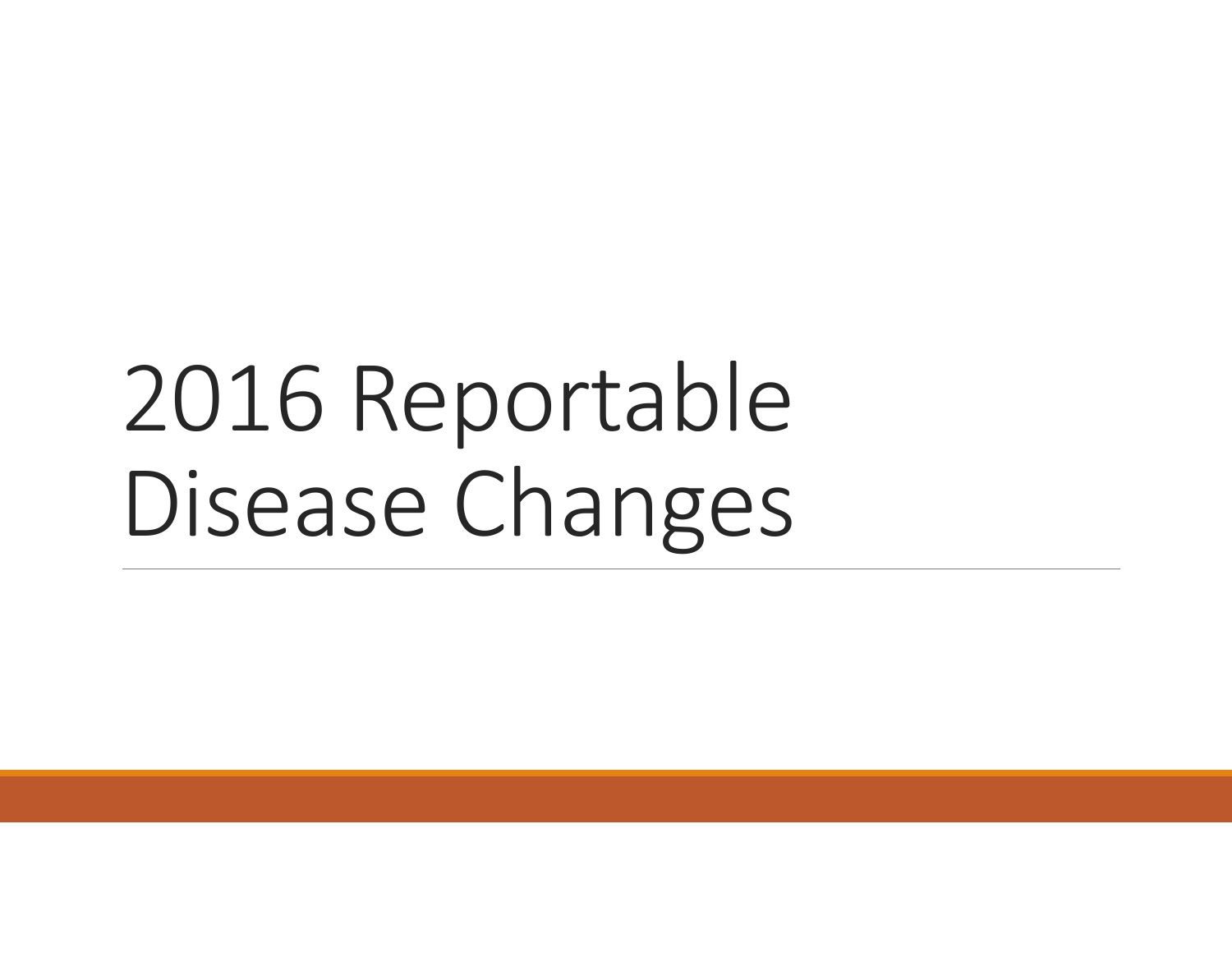# 2016 Reportable Disease Changes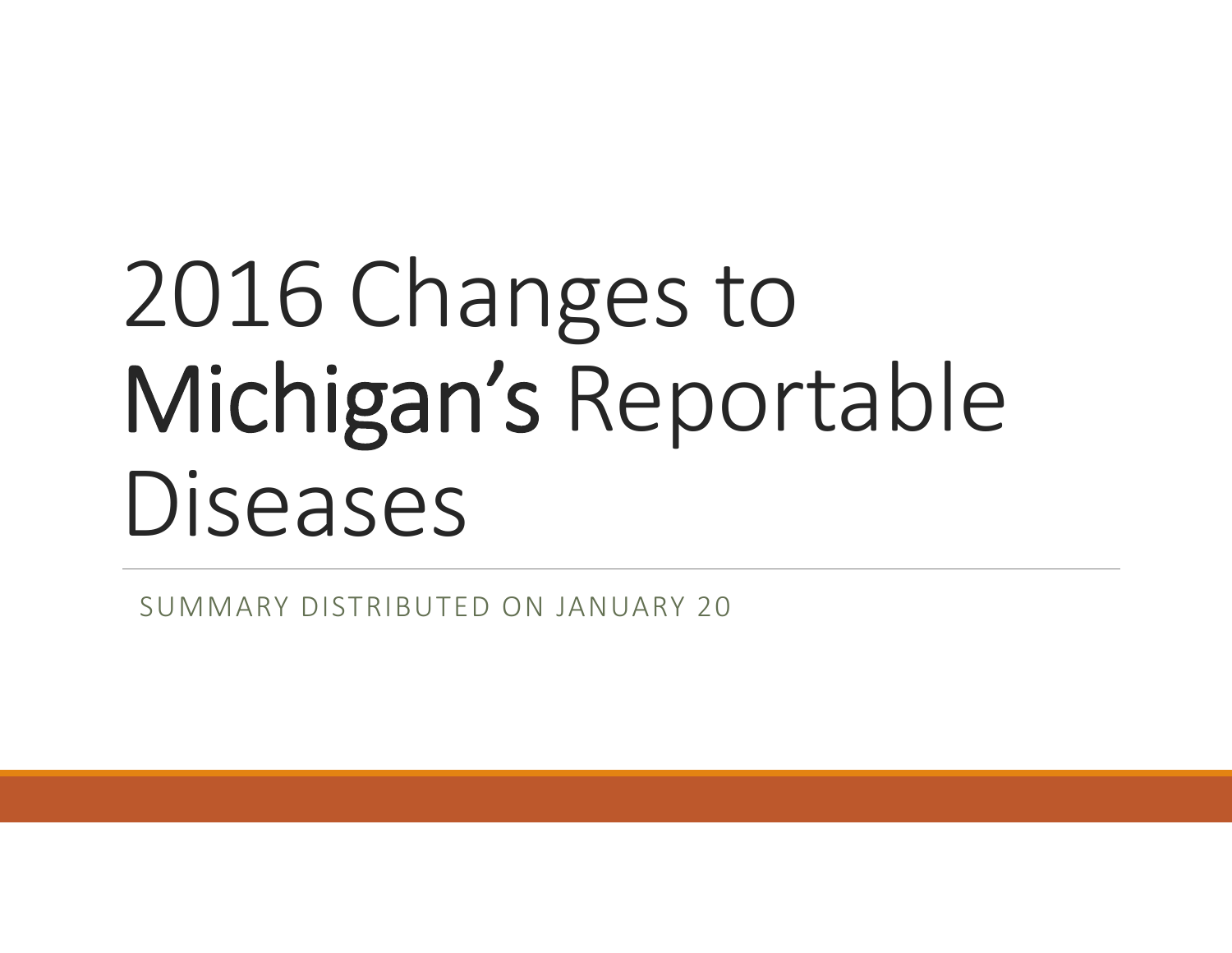# 2016 Changes to Michigan's Reportable Diseases

SUMMARY DISTRIBUTED ON JANUARY 20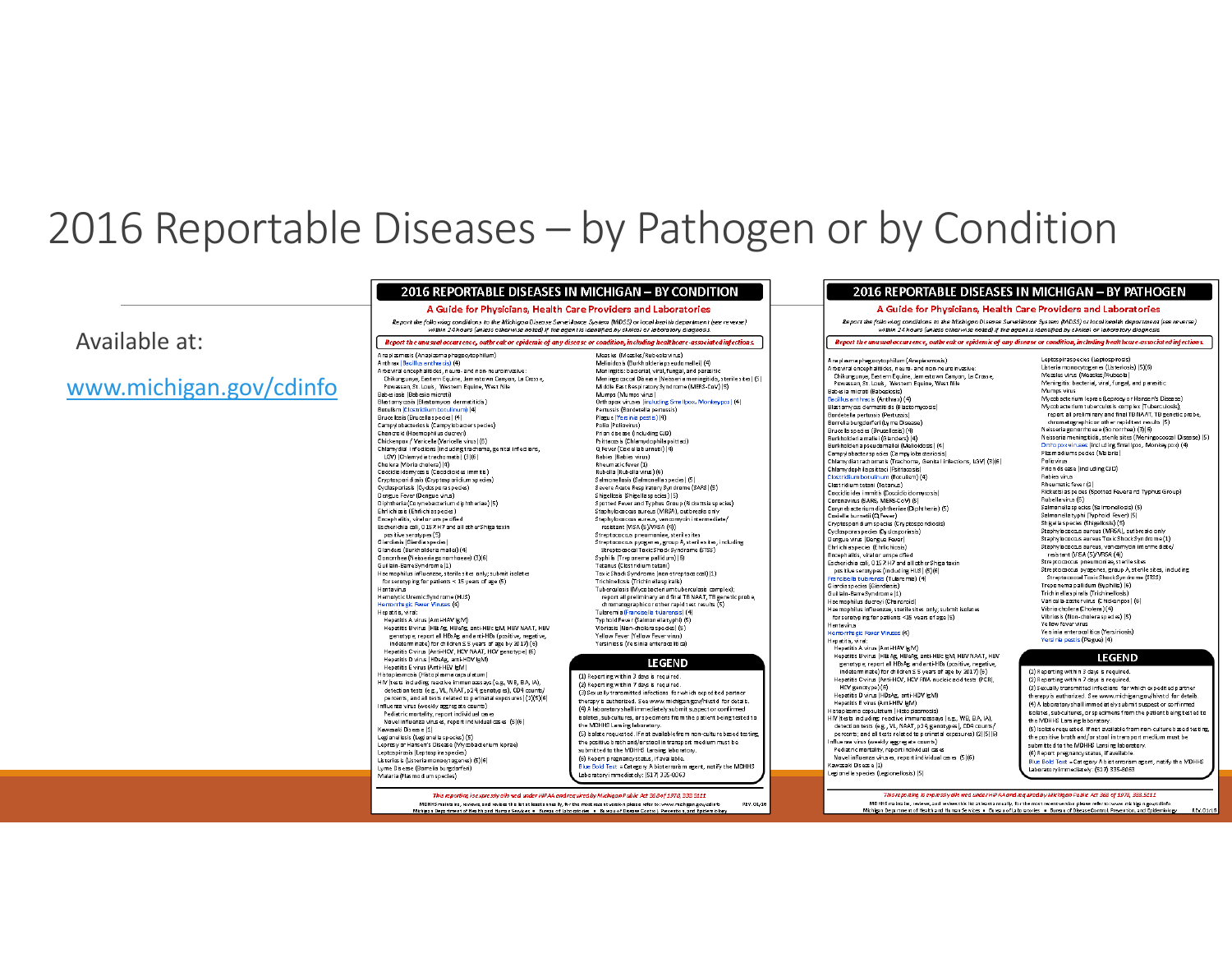### 2016 Reportable Diseases – by Pathogen or by Condition

#### Available at:

#### www.michigan.gov/cdinfo

#### 2016 REPORTABLE DISEASES IN MICHIGAN - BY CONDITION

#### A Guide for Physicians, Health Care Providers and Laboratories

Report the following conditions to the Michigan Disease Surveillance System (MDSS) or local health department (see reverse) within 24 hours (unless otherwise noted) if the agent is identified by clinical or laboratory diagnosis

Report the unu sual occurrence, outbreak or epidemic of any disease or condition, including healthcare-associated infections.

#### Anaplasmosis (Anaplasma phagocytophilum) Anthrax (Bacillus anthracis) (4) Arboviral encephalitides, neuro- and non-neuroinvasive:<br>Chikungunya, Eastern Equine, Jamestown Canyon, La Crosse, Powassan, St. Louis, Western Equine, West Nile Babesiosis (Babesia microti) Blastomycosis (Blastomyces dermatitidis) Batulism (Clostridium botulinum) (4) Brucellosis (Brucella species) (4) Campylobacteriosis (Campylobacter species) Chancroid (Haemophilus ducreyi) Chickenpox / Varicella (Varicella virus) (6) Chlamydial infections (including trachoma, genital infections, LGV) (Chlamydiatrachomatis) (3)(6) Cholera (Vibrio cholera) (4) Cooridini domeços is (Cooridinides immitis). Cryptasparidiasis (Cryptasparidium species) Cyclosporiasis (Cyclospora species) Dengue Fever (Dengue virus) Diphtheria (Corynebacterium diphtheriae) (5) Ehrlichias is (Ehrlichias pecies) Encephalitis, viral or urspecified Escherichia coli, 0157.H7 and all other Shiga toxin pasitive seratypes (5) Giardiasis (Giardia species)<br>Giardiasis (Giardia species)<br>Gianders (Burkholderia mallei) (4) Gonorrhea (Neisseriagonomhoeae) (3)(6) Guillain-BarreSyndrome (1)

Haemophilus influenzae, sterile sites only; submit isolates forserotyping for patients < 15 years of age (5) Hantavirus Hemalytic Uremic Syndrame (HUS) lerrorrhagic Fever Viruses (4) Hepatitis, viral:

- Hepatitis A virus (Ami-HAV gM) Hepatitis B virus (HB Ag, HBeAg, anti-HBc (gM, HBV NAAT, HBV genutype; report all HBsAg and anti-HBs (positive, negative, indeterminate) for children ≤ 5 years of age by 2017) (6)<br>Hepatitis C virus (Anti-HCV, HCV NAAT, HCV genotype) (6) Hepatitis D virus (HDsAg, anti-HDV IgM) Hepatitis E virus (Anti-HEV (gM) Histoplasmosis (Histoplasma capsulatum)
- HIV (tests including reactive immunoassays (e.g., WB, EIA, IA), detection tests (e.g., VL, NAAT, p24, genotypes), CD4 counts/ percents, and all tests related to perinatal exposures) (2)(5)(6) Influenza virus (weekly aggregate counts) Pediatric mortality, report individual cases Novel influenza virus es, report individual cas es (5)(6)
- Kawasaki Disease (1) Legionellosis (Legionella species) (5) Lenrosy or Hansen's Disease (Mycobacterium lenrae) Leptospirosis (Leptospira species) Listeriosis (Listeria monocytogenes) (5)(6)

Lyme Disease (Borrelia burgdorferi Malaria (Plasmo dium species)

Measles (Measles/Rubeola virus) Melicidosis (Burkholderia pseudomallei) (4) mannents bacterial, viral, fungal, and parasitic<br>Meningitis: bacterial, viral, fungal, and parasitic<br>Meningo coccal Disease (Neisseria meningitidis, sterile sites) (5) Middle East Respiratory Syndrome (MERS-CoV) (5) Mumps (Mumps virus) Orthopox viruses (including Smallpox, Monkeypox) (4) Pertussis (Bardetella pertussis) Plazue (Yersinia pestis) (4) Palia (Paliavirus) Prion disease (including CJD) Psittacosis (Chlamydophila psittaci) O Fever (Coxiella burnetii) (4) Rabies (Rabies virus) Rheumatic fever (1) Rubella (Rubella virus) (6) Salmonellosis (Salmonella species) (5) Severe Acute Respiratory Syndrome (SARS) (5) Shigellosis (Shigellaspecies ) (5) Spotted Fever and Typhus Group (Ridcettsia species) Staphylo cross aureus (MRSA), outbreaks only Staphylococcus aureus, van comycin intermediate/ resistant (VISA (5)/VRSA (4)) Streptococcus pneumoniae, steriles ites Streptococcus pyogenes, group A, steriles it es, including<br>Streptococcul Toxic Shock Syndrome (STSS) Syphilis (Trepanema pallidum) (6)<br>Tetanus (Clastridium tetani) TaxicShack Syndrame (nan-streptocaccal) (1) Trichinellosis (Trichinellaspiralis) Tuberculosis (Mycobacterium tuberculosis complex): report all preliminary and final TB NAAT, TB genetic probe, chromatographic or other rapid test results (5) Tularemia (Francisella tularensis) (4)<br>Typhoid Fever (Salmonellatyphi) (5) Vibriosis (Non-cholera species) (5) Yellow Fever (Yellow Fever virus) Yersiniosis (Yersinia enterocolitica)

#### LEGEND

(1) Reporting within 3 days is required (2) Reporting within 7 days is required (3) Sexually transmitted infections for which expedited partner therapy is authorized. See www.michigan.gov/hivstd for details (4) A laboratory shall immediately submit suspect or confirmed isolates, subcultures, or specimens from the patient being tested to the MDHHS Lars ing laboratory. (5) Isolate requested. If not available from non-culture based testin the positive broth and/or stool in transport medium must be submitted to the MDHHS Lansing laboratory. (6) Report pregnancy status, if available.

Blue Bold Text = Category A bioterrorism agent, notify the MDHHS Laboratory immediately: (517) 335-8063

This reporting is expressly allowed under HIPAA and required by Michigan Public Act 368 of 1978, 333.5111 MDHHS maintains, reviews, and revises this list at least annually, for the most recent version please refer to: www.michigan.gov/cdinfo REV. 01/16 .<br>Michigan Department of Health and Human . Bureau of Disease Control, Pre

#### Chikungunya, Eastern Equine, Jamestown Canyon, La Crosse Powassan, St. Louis, Western Equine, West Nile<br>Babes ia microti (Babesiosis) Bacillus anthracis (Anthrax) (4) Blastomyos dermatitidis (Blastomyosis) Bordetella pertussis (Pertussis) Borrelia burgdorferi (Lyrne Disease Brucella species (Brucellosis) (4) Burkholderia mallei (Glanders) (4 Burkholderia pseudomallei (Melioidosis) (4) Campylobacter species (Campylobacteric Chlamydiatrachomatis (Trachoma, Genital infections, LGV) (3)(6) Chlamydophila psittaci (Psittacosis) Clostridium bot ulinum (Bot ulism) (4) Clostridium tetani (Tetanus) Coccidioides immitis (Coccidioido mycosis) Coronavirus (SARS, MERS-CoV) (5) Corynebacterium diphtheriae (Diphtheria) (5) Coxiella burnetii (Q Fever) Cryptasparidium species (Cryptosporidiosis) Cyclosporas pecies (Cyclosporiasis) Dengue virus (Dengue Fever) Ehrlichiaspecies (Ehrlichiosis) Encephalitis, viral or unspecified<br>Escherichia coli, 0157:H7 and all other Shiga toxin pasitive seratypes (including HUS) (5)(6) Francisella tularensis (Tularennia) (4) Giardiaspecies (Giardiasis) Guillain-BarreSyndrome(1) Haemophilus ducrevi (Chancroid) .<br>Haemophilus influenzae, sterile sites only; submit isolates for serotyping for patients <15 years of age (5) Hantavirus lemorrhagic Fever Viruses (4) Hepatitis, viral:<br>
Hepatitis A virus (Anti-HAV gM) Hepatitis B virus (HBs Ag, HBeAg, anti-HBc (gM, HBV NAAT, HBV<br>genutype; report all HBs Ag and anti-HBs (positive, negative,

Anaplasma phagocytophilum (Anaplasmosis)

.<br>Arboviral encephalitides, neuro- and non-neuroinvasiv

indeterminate) for children ≤ 5 years of age by 2017(6) Hepatitis C virus (Anti-HCV, HCV RNA nucleic add tests (PCR), HCV genutype) (6) Hepatitis D virus (HDsAg, anti-HDV lgM Hepatitis E virus (Anti-HEV IgM) detection tests (e.g., VL, NAAT, p24 genotypes), CD4 counts/ percents; and all tests related to perinatal exposures) (2)(5)(6) Influenza virus (weekly aggregate counts)<br>Pediatric mortality, report individual cases Novel influenza virus es, report individual cas es (5)(6) Kawasaki Disease (1) Legionella species (Legionellosis) (5)

within 24 hours (unless otherwise noted) if the agent is identified by clinical or laboratory diagnosis. Report the unu sual occurrence, outbreak or epidemic of any disease or condition, including healthcare-associated infections. Leptospiraspecies (Leptospirosis) Listeria monocytogenes (Listeriosis) (5)(6) Measles virus (Measles/Rubeola) Meningitis: bacterial, viral, fungal, and parasitic Mumps virus Mycobacterium leorae (Leorosy or Hansen's Disease) Mycobacterium tuberculus is complex (Tuberculosis); report all preliminary and final TB NAAT, TB genetic probe chromatographicor other rapidtest results (5) Neisseriagonorrhoeae (Gonorrhea) (3)(6) Neisseria meningitids, sterile sites (Meningococal Disease) (5)<br>Orthopox viruses (including Smallpox, Monkeypox) (4) Plasmodiums pecies (Ma bria) Paliavirus Priori disease (including CID) Rabies virus **Bheumatic fever (1)** Rickettsias pedes (Spotted Fever and Typhus Group) Rubella virus (6) Salmonellaspecies (Salmonellosis) (5) Salmonellatyphi (Typhoid Fever) (5) Shigella species (Shigellosis) (5) Staphylo coccus aureus (MRSA), outbreaks only Staphylococcus aureus Toxic Shock Syndrome (1)<br>Staphylococcus aureus Toxic Shock Syndrome (1) resistant (VISA (5)/VRSA (4)) Streptococcus preumoniae, sterile sites Streptococcus pyogenes, group A, sterile sites, including Streptococcal Toxic Shock Syndrome (STSS)<br>Treponema pallidum (Syphilis) (6) Trichinellas piralis (Trichinellosis) Varicella-zostervirus (Chickenpox) (6) Vibrio cholera (Cholera) (4) Vibriasis (Nan-chaleraspecies) (5) Yellow fever virus Yers inia enterocolitica (Yersiniosis) Yersinia pestis (Plague) (4)

#### **LEGEND**

1) Reporting within 3 days is required (2) Reporting within 7 days is required. (3) Sexually transmitted infections for which expedited partner therapy is authorized. See www.michigan.gov/hivstd for details (4) A laboratory shall immediately submit suspect or confirmed isolates, subcultures, or specimens from the patient being tested to the MDHHS Lars ing laboratory. (5) Isolate requested. If not available from non-culture based testin<br>the positive broth and/or stool in transport medium must be submitted to the MDHHS Lansing laboratory. (6) Report pregnancy status, if available. Blue Bold Text = Category A bioterrorism agent, notify the MDHHS Laboratory immediately: (517) 335-8063

This reporting is expressly allowed under HIP AA and regulred by Michigan Public Act 368 of 1978, 333.5111 MDHHS maintains, reviews, and revises this list at least annually, for the most recent version please refer to: www.michigan.gov/cdinfo<br>Michigan Department of Health and Human Services • Bureau of Laboratories • Bureau of

2016 REPORTABLE DISEASES IN MICHIGAN - BY PATHOGEN

A Guide for Physicians, Health Care Providers and Laboratories

Report the following conditions to the Michigan Disease Surveillance System (MDSS) or local health department (see reverse)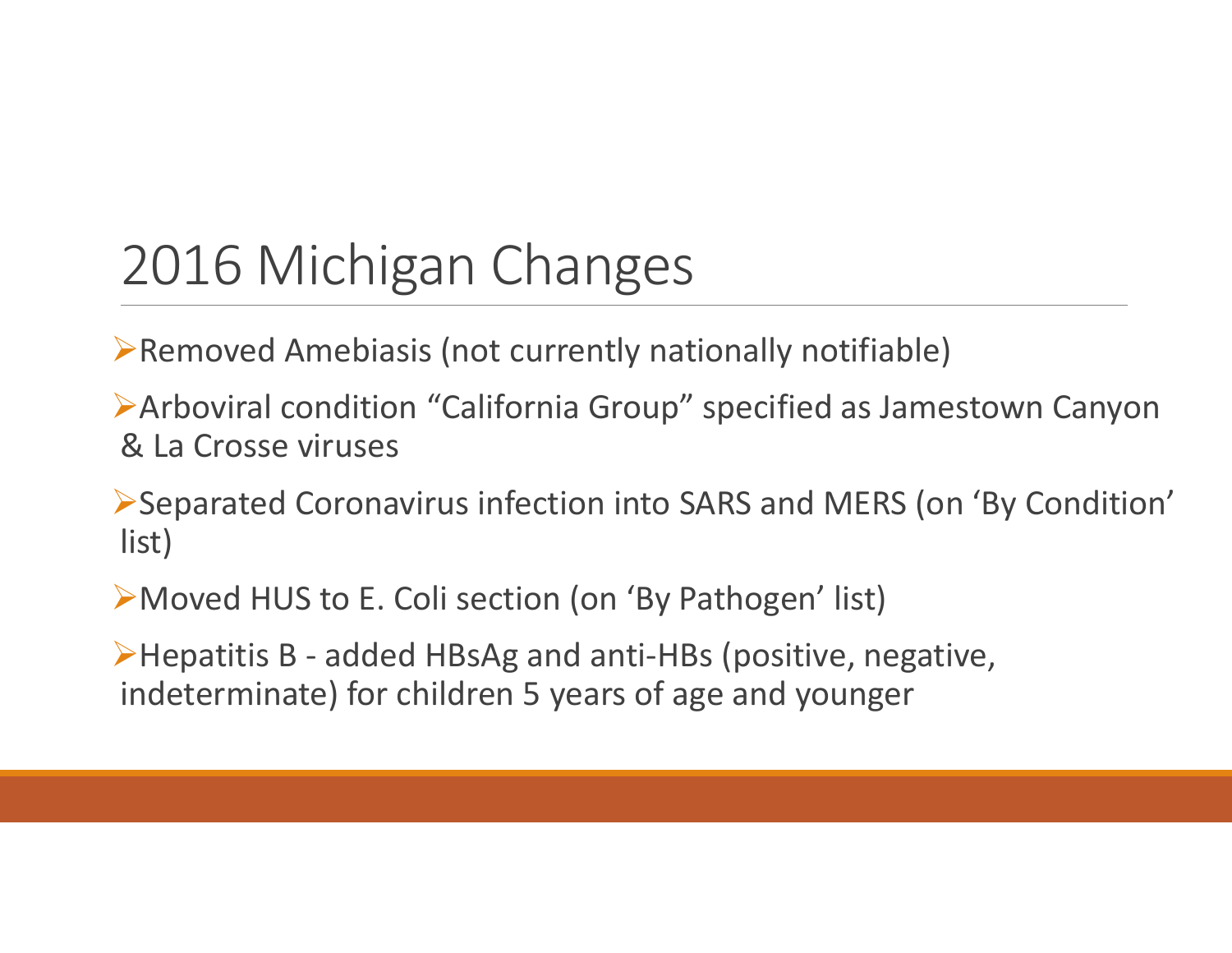Removed Amebiasis (not currently nationally notifiable)

Arboviral condition "California Group" specified as Jamestown Canyon & La Crosse viruses

Separated Coronavirus infection into SARS and MERS (on 'By Condition' list)

Moved HUS to E. Coli section (on 'By Pathogen' list)

Hepatitis <sup>B</sup> ‐ added HBsAg and anti‐HBs (positive, negative, indeterminate) for children 5 years of age and younger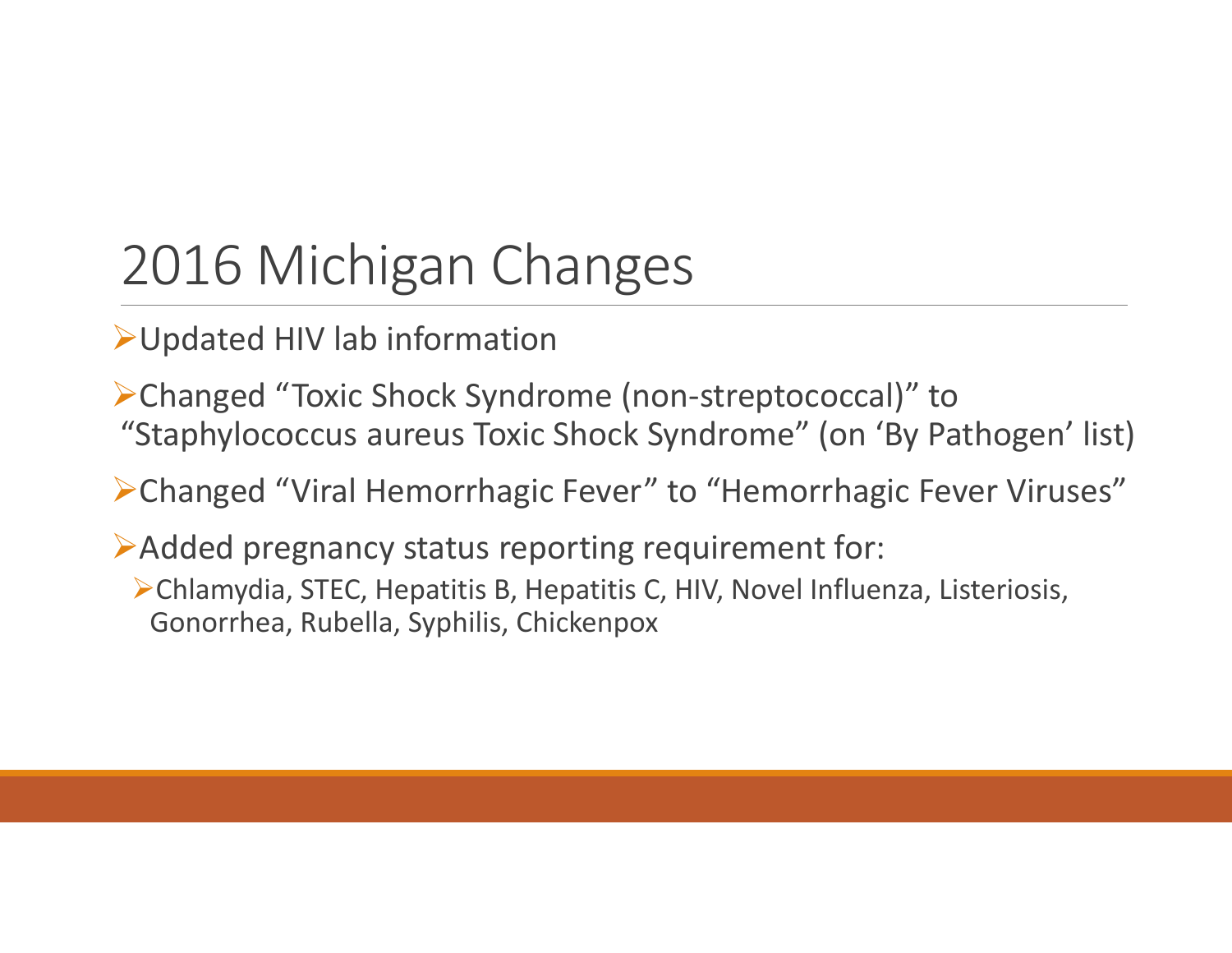Updated HIV lab information

Changed "Toxic Shock Syndrome (non‐streptococcal)" to "Staphylococcus aureus Toxic Shock Syndrome" (on 'By Pathogen' list)

Changed "Viral Hemorrhagic Fever" to "Hemorrhagic Fever Viruses"

Added pregnancy status reporting requirement for:

Chlamydia, STEC, Hepatitis B, Hepatitis C, HIV, Novel Influenza, Listeriosis, Gonorrhea, Rubella, Syphilis, Chickenpox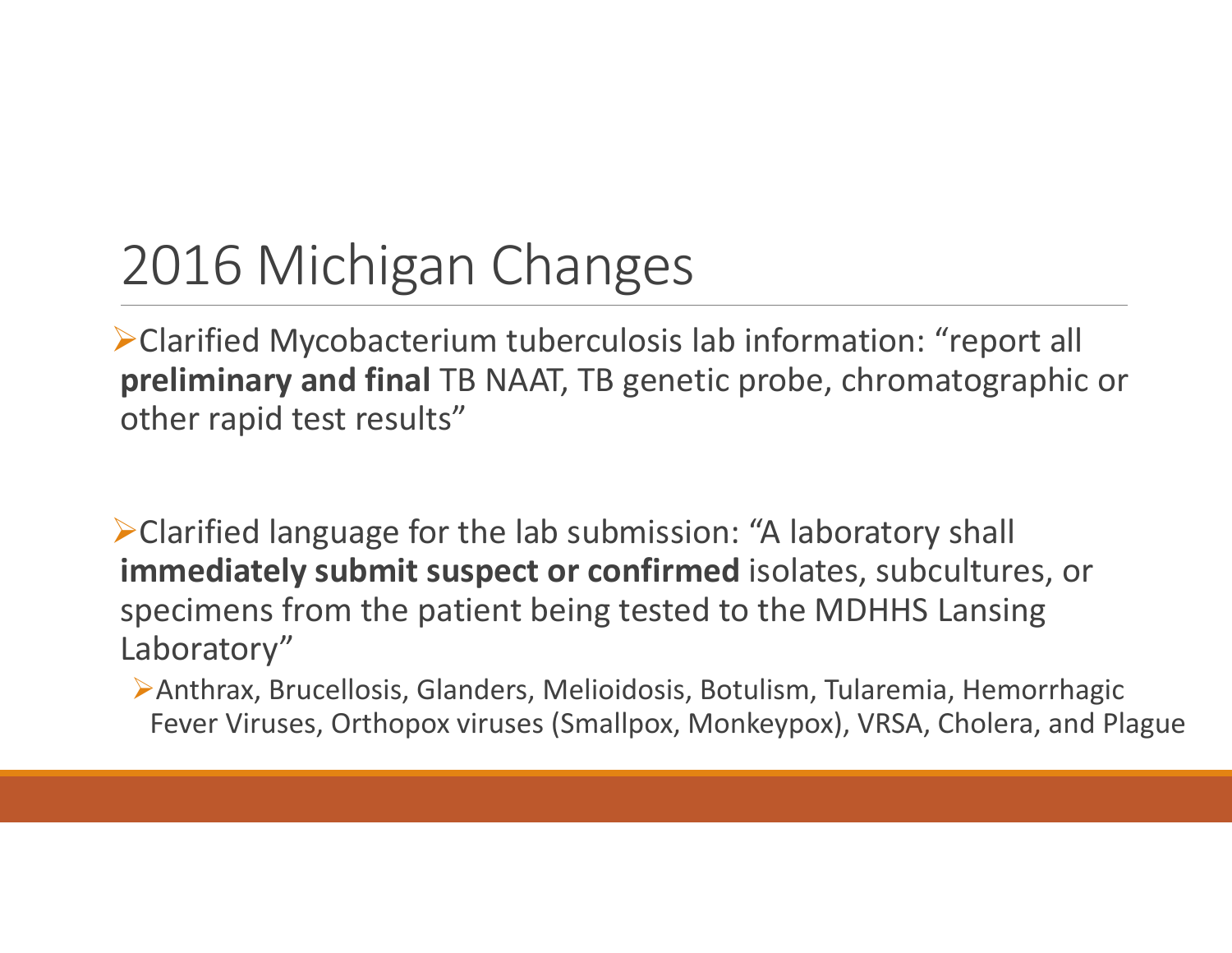Clarified Mycobacterium tuberculosis lab information: "report all **preliminary and final** TB NAAT, TB genetic probe, chromatographic or other rapid test results"

Clarified language for the lab submission: "A laboratory shall **immediately submit suspect or confirmed** isolates, subcultures, or specimens from the patient being tested to the MDHHS Lansing Laboratory"

Anthrax, Brucellosis, Glanders, Melioidosis, Botulism, Tularemia, Hemorrhagic Fever Viruses, Orthopox viruses (Smallpox, Monkeypox), VRSA, Cholera, and Plague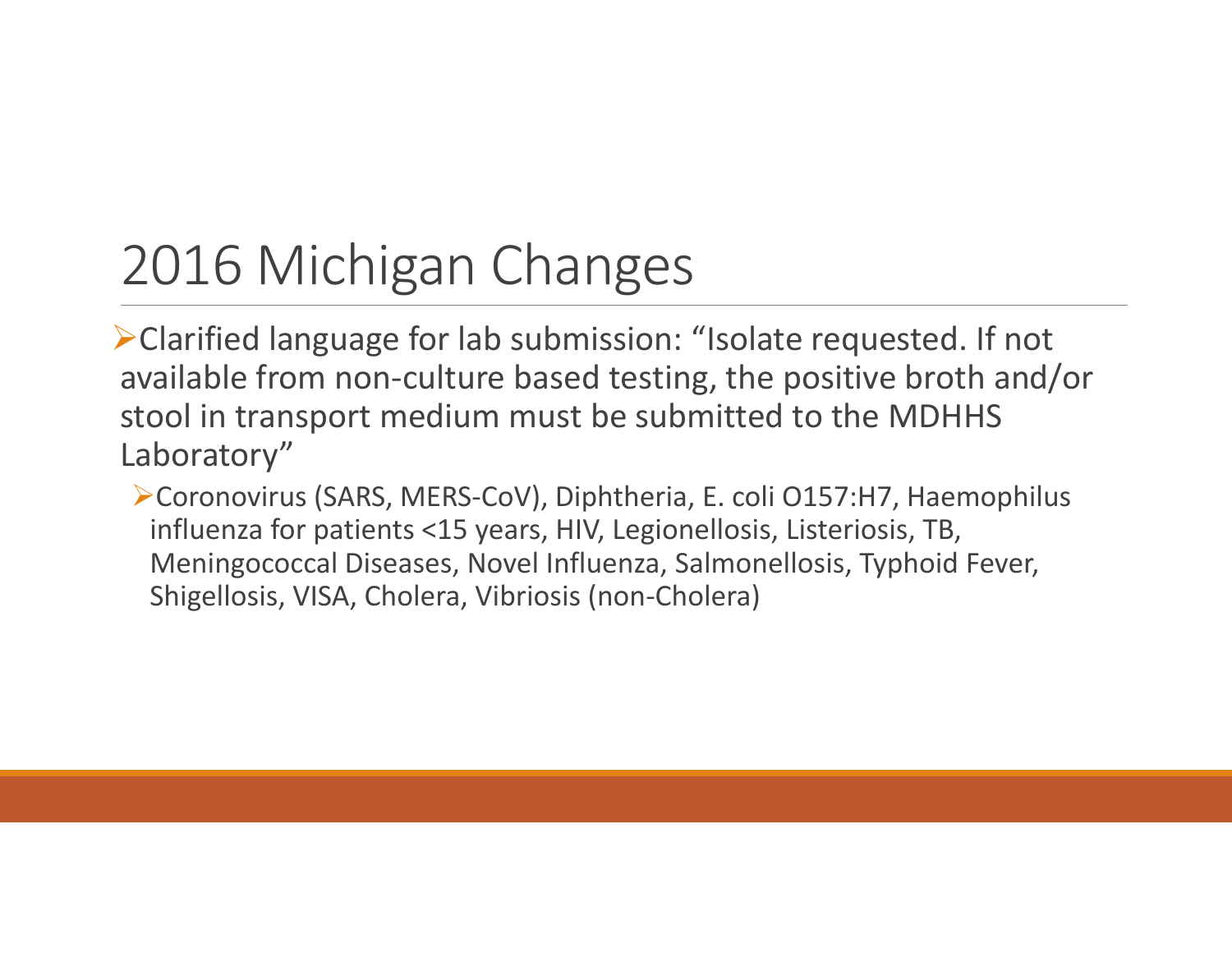Clarified language for lab submission: "Isolate requested. If not available from non‐culture based testing, the positive broth and/or stool in transport medium must be submitted to the MDHHS Laboratory"

Coronovirus (SARS, MERS‐CoV), Diphtheria, E. coli O157:H7, Haemophilus influenza for patients <15 years, HIV, Legionellosis, Listeriosis, TB, Meningococcal Diseases, Novel Influenza, Salmonellosis, Typhoid Fever, Shigellosis, VISA, Cholera, Vibriosis (non‐Cholera)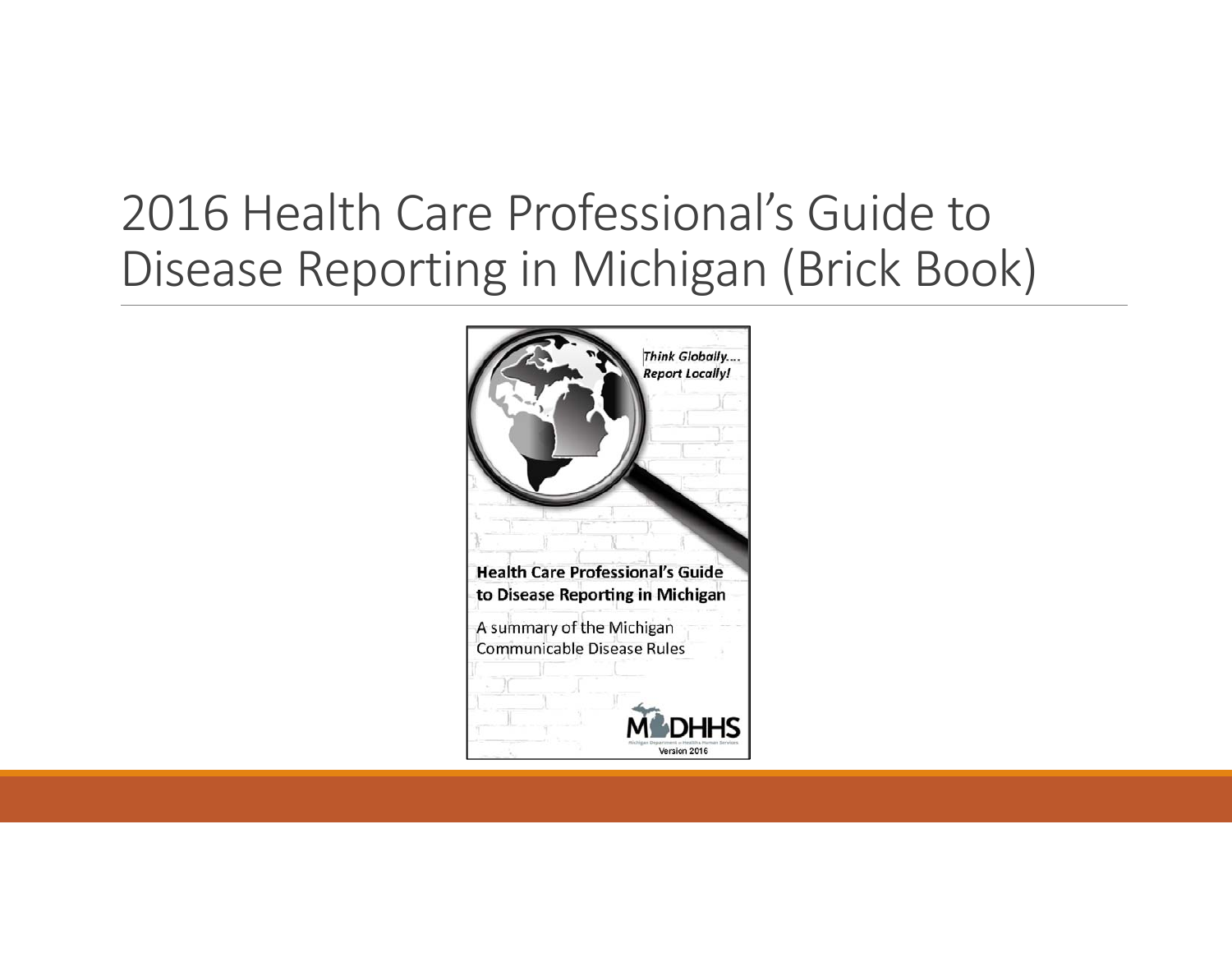### 2016 Health Care Professional's Guide toDisease Reporting in Michigan (Brick Book)

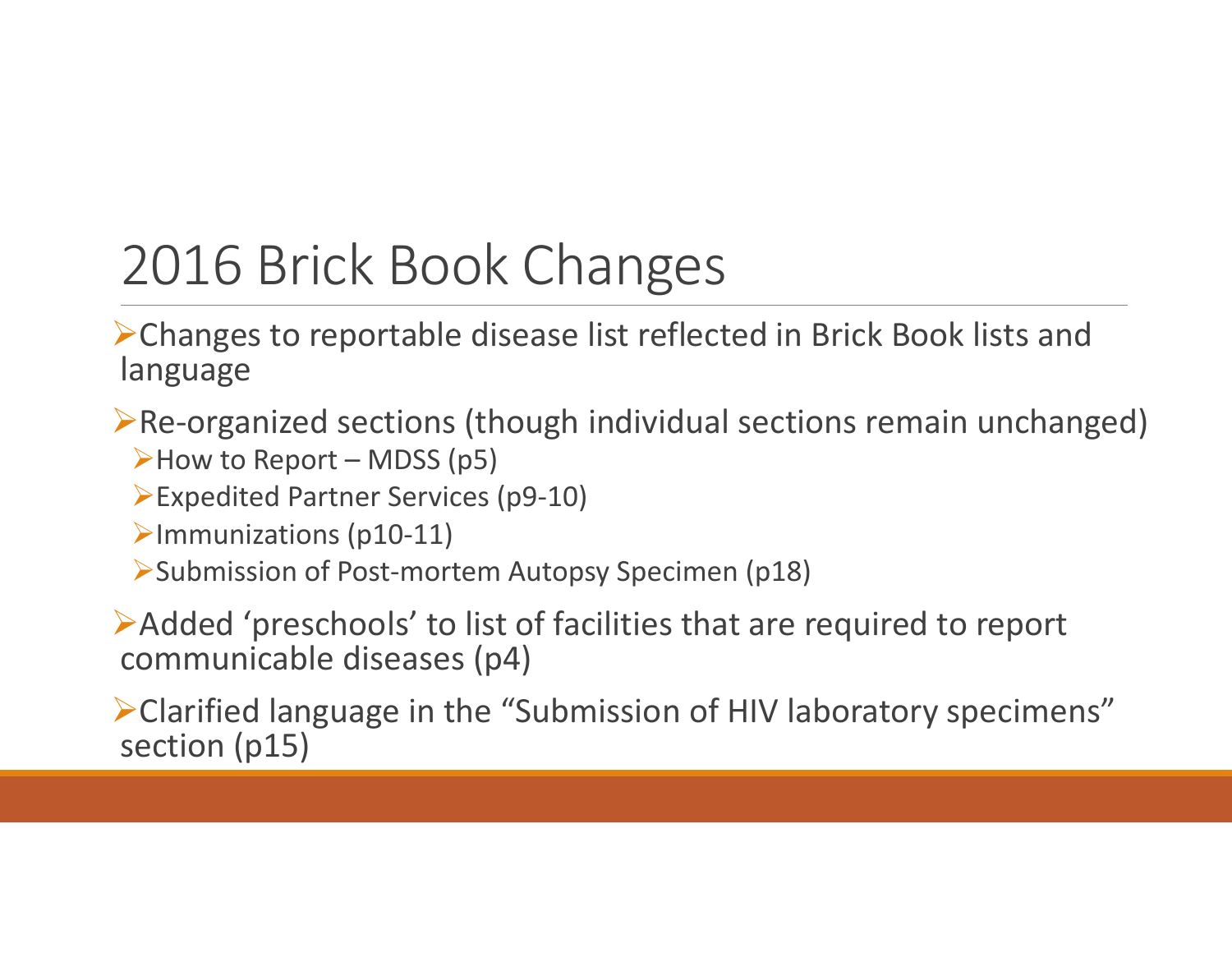## 2016 Brick Book Changes

Changes to reportable disease list reflected in Brick Book lists and language

Re‐organized sections (though individual sections remain unchanged) How to Report – MDSS (p5)

Expedited Partner Services (p9‐10)

Immunizations (p10‐11)

Submission of Post‐mortem Autopsy Specimen (p18)

Added 'preschools' to list of facilities that are required to report communicable diseases (p4)

Clarified language in the "Submission of HIV laboratory specimens" section (p15)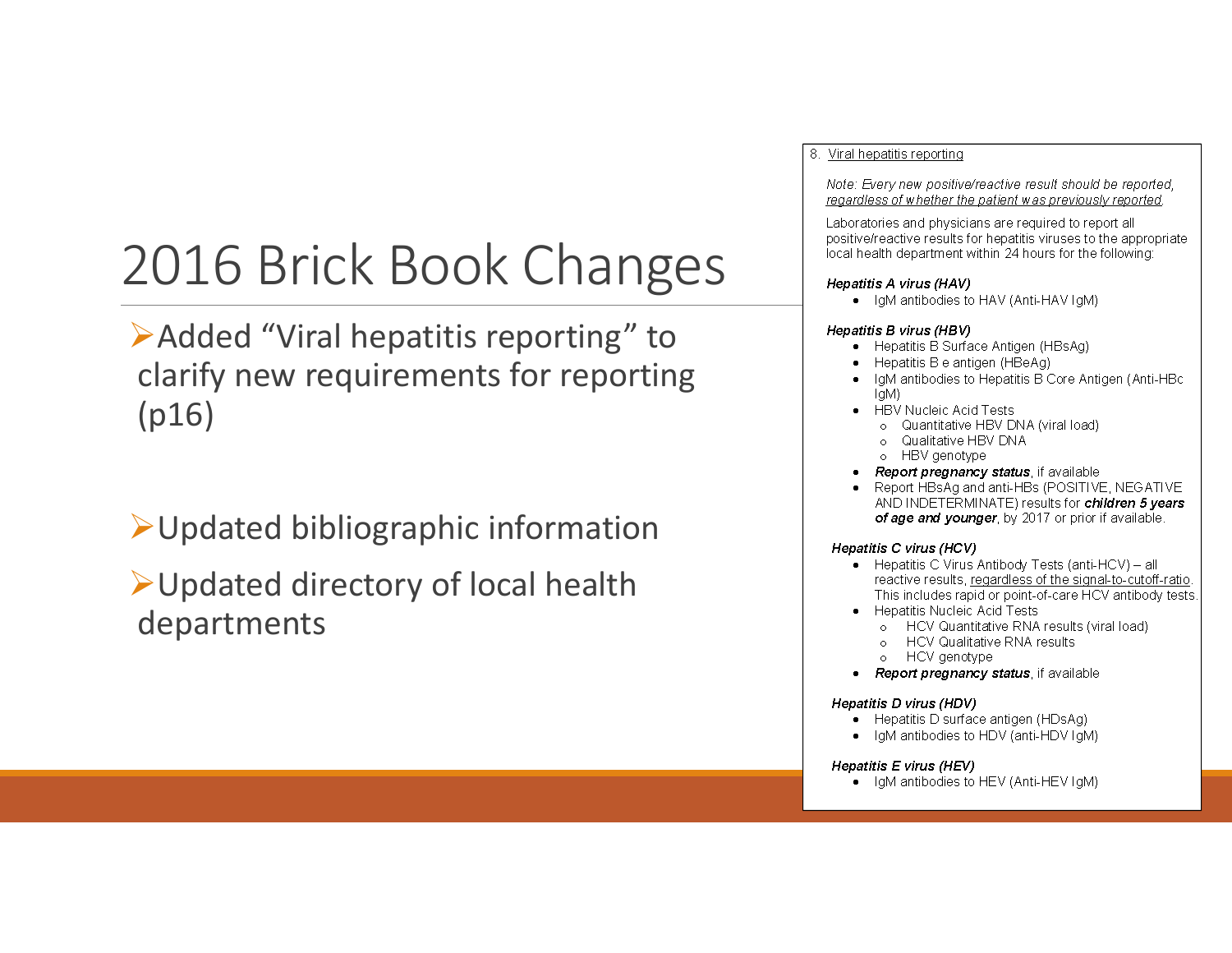## 2016 Brick Book Changes

Added "Viral hepatitis reporting" to clarify new requirements for reporting (p16)

Updated bibliographic information

Updated directory of local health departments

#### 8. Viral hepatitis reporting

Note: Every new positive/reactive result should be reported, regardless of whether the patient was previously reported.

Laboratories and physicians are required to report all positive/reactive results for hepatitis viruses to the appropriate local health department within 24 hours for the following:

#### Hepatitis A virus (HAV)

• IgM antibodies to HAV (Anti-HAV IgM)

#### Hepatitis B virus (HBV)

- Hepatitis B Surface Antigen (HBsAg)
- Hepatitis B e antigen (HBeAg)
- IdM antibodies to Hepatitis B Core Antigen (Anti-HBc) IgM)
- **HBV Nucleic Acid Tests** 
	- o Quantitative HBV DNA (viral load)
	- o Qualitative HBV DNA
	- o HBV genotype
- Report pregnancy status, if available
- Report HBsAg and anti-HBs (POSITIVE, NEGATIVE AND INDETERMINATE) results for children 5 years of age and younger, by 2017 or prior if available.

#### Hepatitis C virus (HCV)

- Hepatitis C Virus Antibody Tests (anti-HCV) all reactive results, regardless of the signal-to-cutoff-ratio. This includes rapid or point-of-care HCV antibody tests.
- Hepatitis Nucleic Acid Tests
	- o HCV Quantitative RNA results (viral load)
	- o HCV Qualitative RNA results
	- o HCV genotype
- Report pregnancy status, if available

#### Hepatitis D virus (HDV)

- Hepatitis D surface antigen (HDsAg)
- IgM antibodies to HDV (anti-HDV IgM)  $\bullet$

#### Hepatitis E virus (HEV)

• IgM antibodies to HEV (Anti-HEV IgM)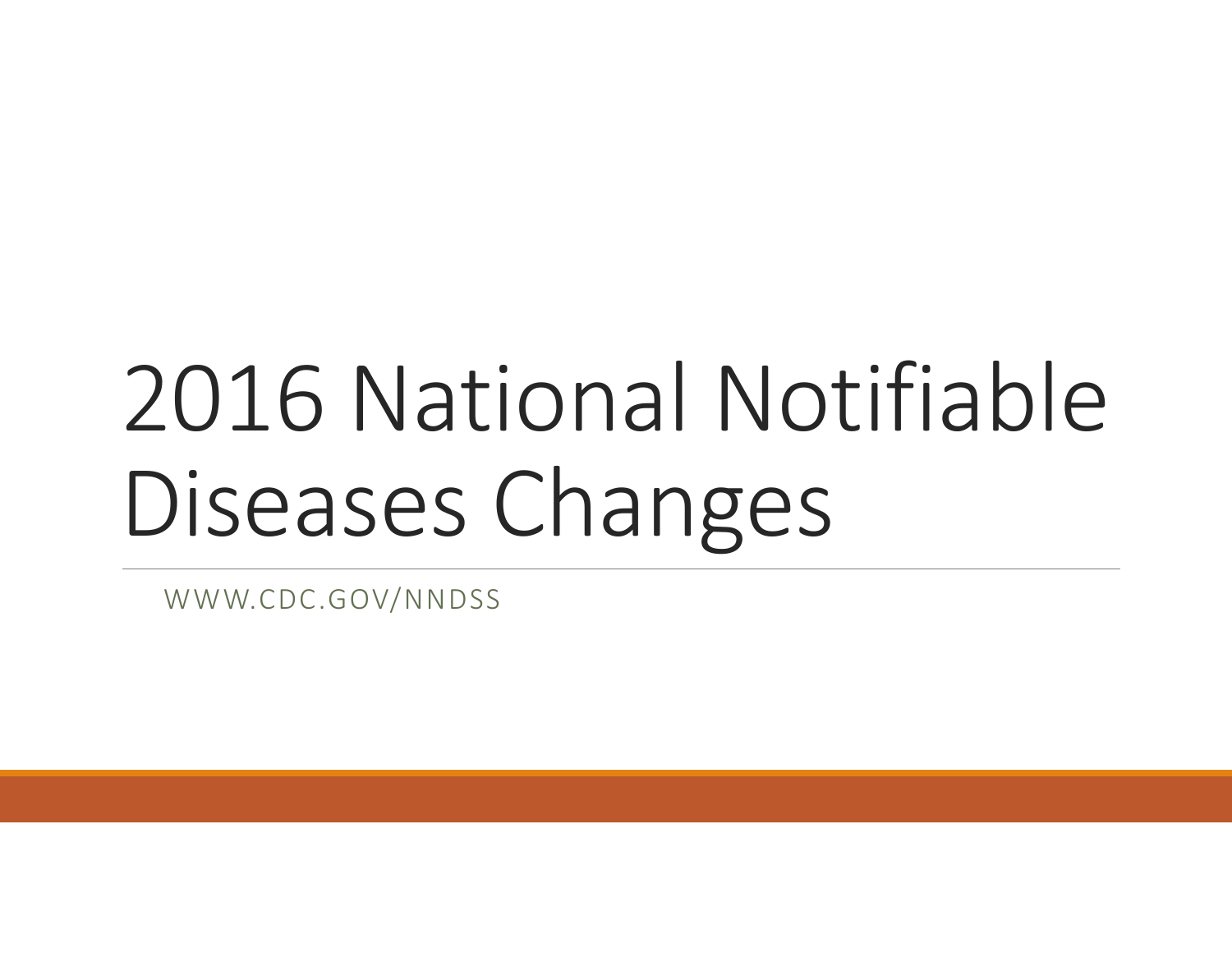# 2016 National Notifiable Diseases Changes

WWW.CDC.GOV/NNDSS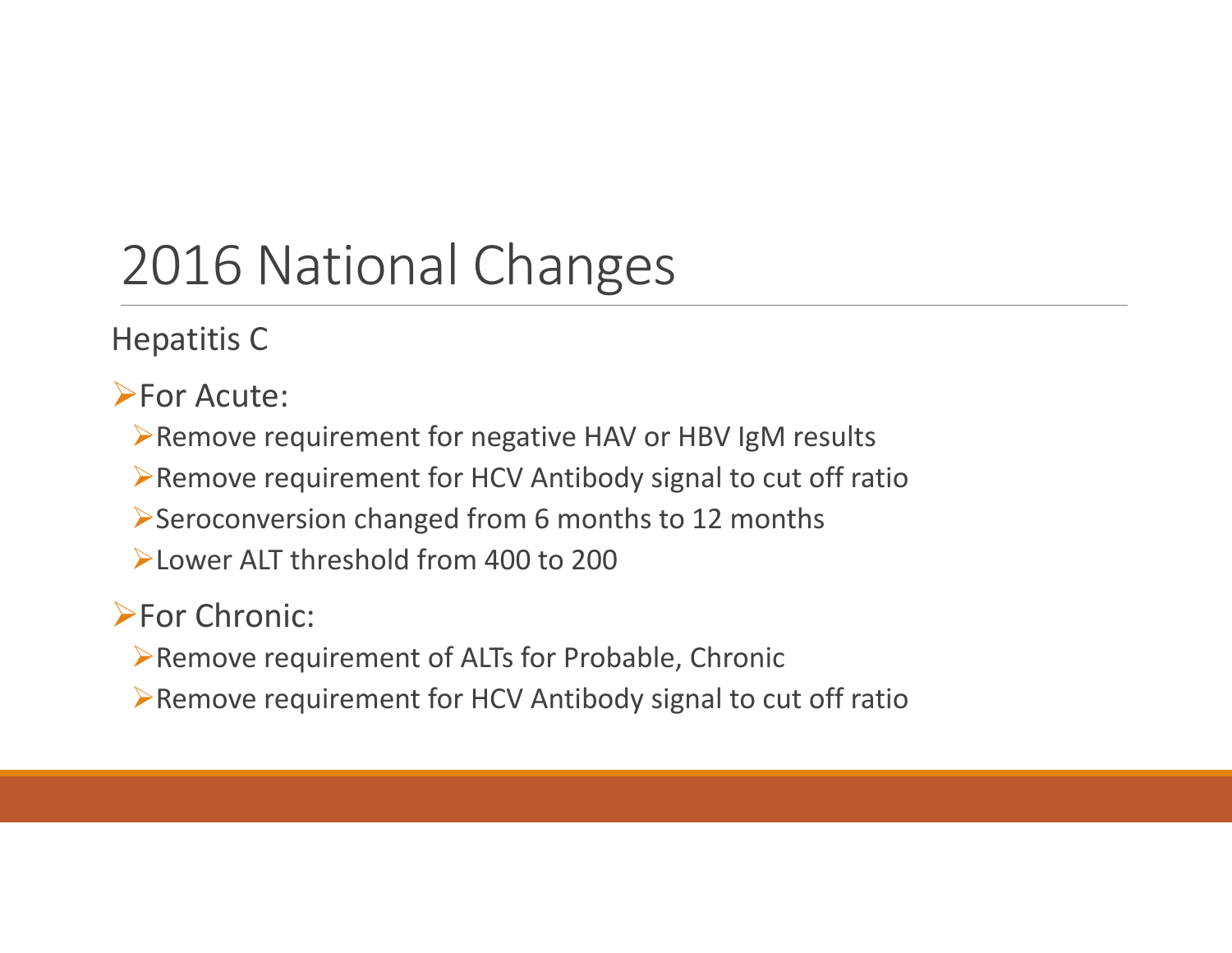### 2016 National Changes

Hepatitis C

**>For Acute:** 

Remove requirement for negative HAV or HBV IgM results

Remove requirement for HCV Antibody signal to cut off ratio

Seroconversion changed from 6 months to 12 months

Lower ALT threshold from 400 to 200

### **>For Chronic:**

Remove requirement of ALTs for Probable, Chronic

Remove requirement for HCV Antibody signal to cut off ratio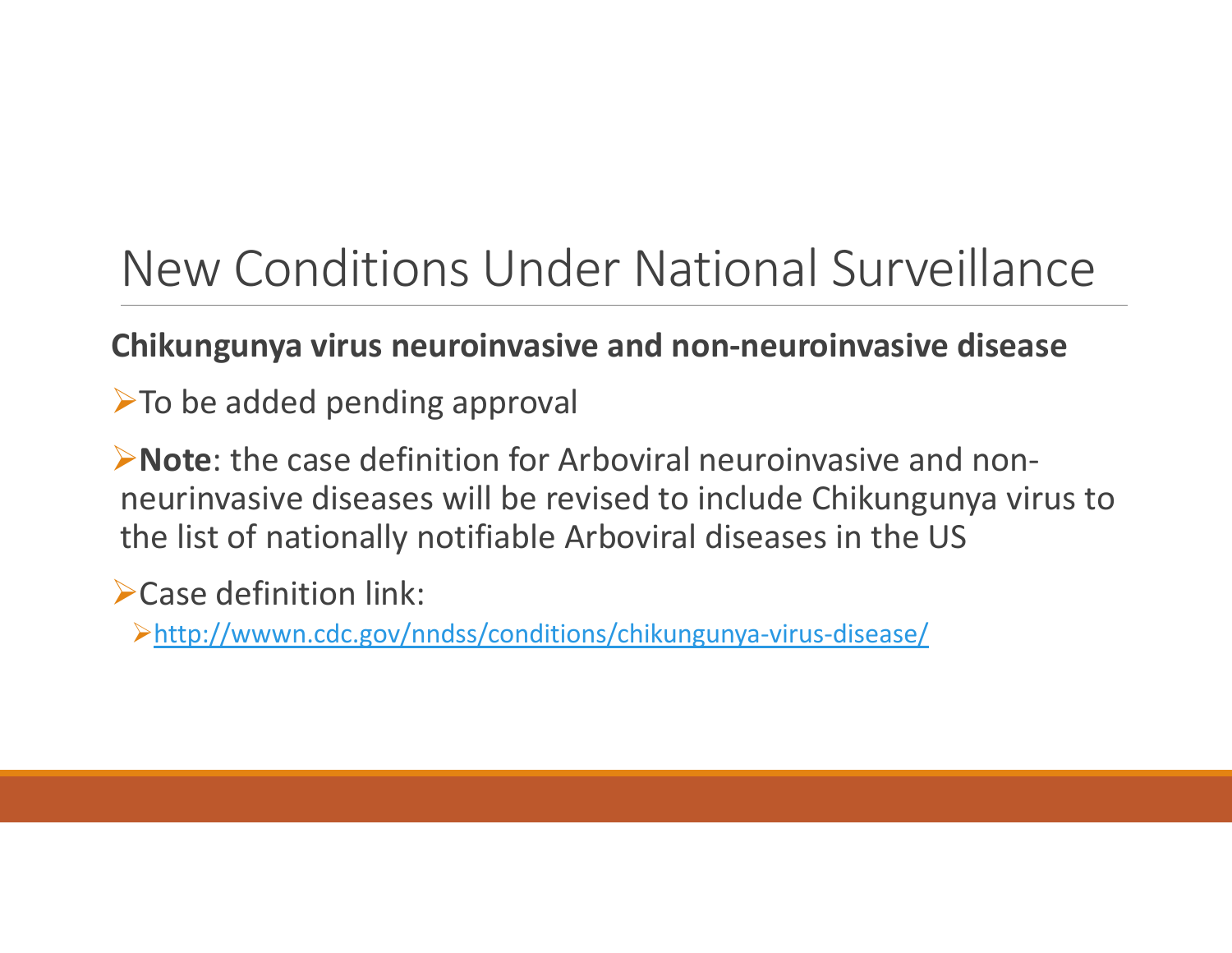### New Conditions Under National Surveillance

### **Chikungunya virus neuroinvasive and non‐neuroinvasive disease**

>To be added pending approval

**Example:** the case definition for Arboviral neuroinvasive and nonneurinvasive diseases will be revised to include Chikungunya virus to the list of nationally notifiable Arboviral diseases in the US

Case definition link:

http://wwwn.cdc.gov/nndss/conditions/chikungunya‐virus‐disease/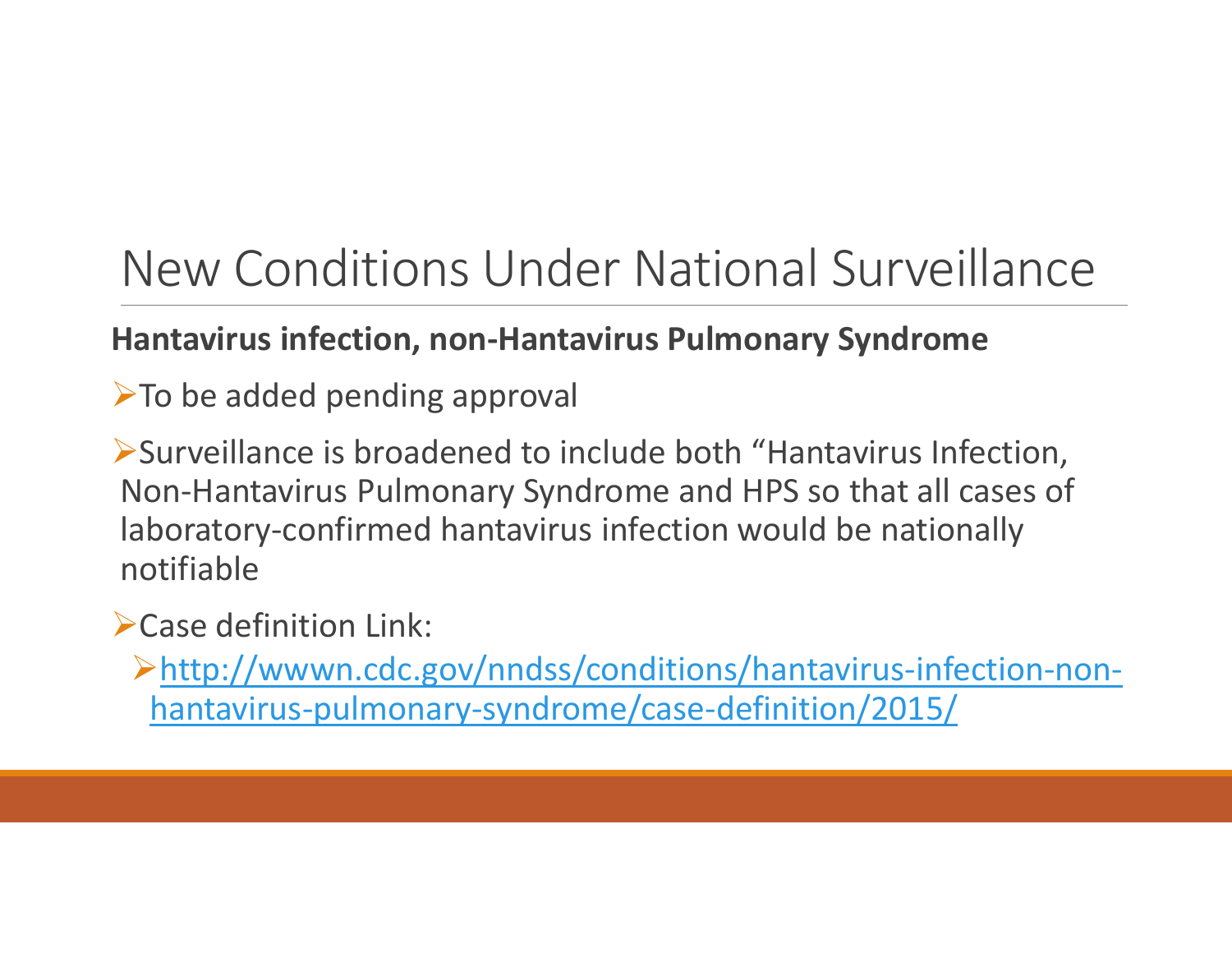### New Conditions Under National Surveillance

### **Hantavirus infection, non‐Hantavirus Pulmonary Syndrome**

> To be added pending approval

Surveillance is broadened to include both "Hantavirus Infection, Non‐Hantavirus Pulmonary Syndrome and HPS so that all cases of laboratory‐confirmed hantavirus infection would be nationally notifiable

Case definition Link:

http://wwwn.cdc.gov/nndss/conditions/hantavirus‐infection‐non‐ hantavirus‐pulmonary‐syndrome/case‐definition/2015/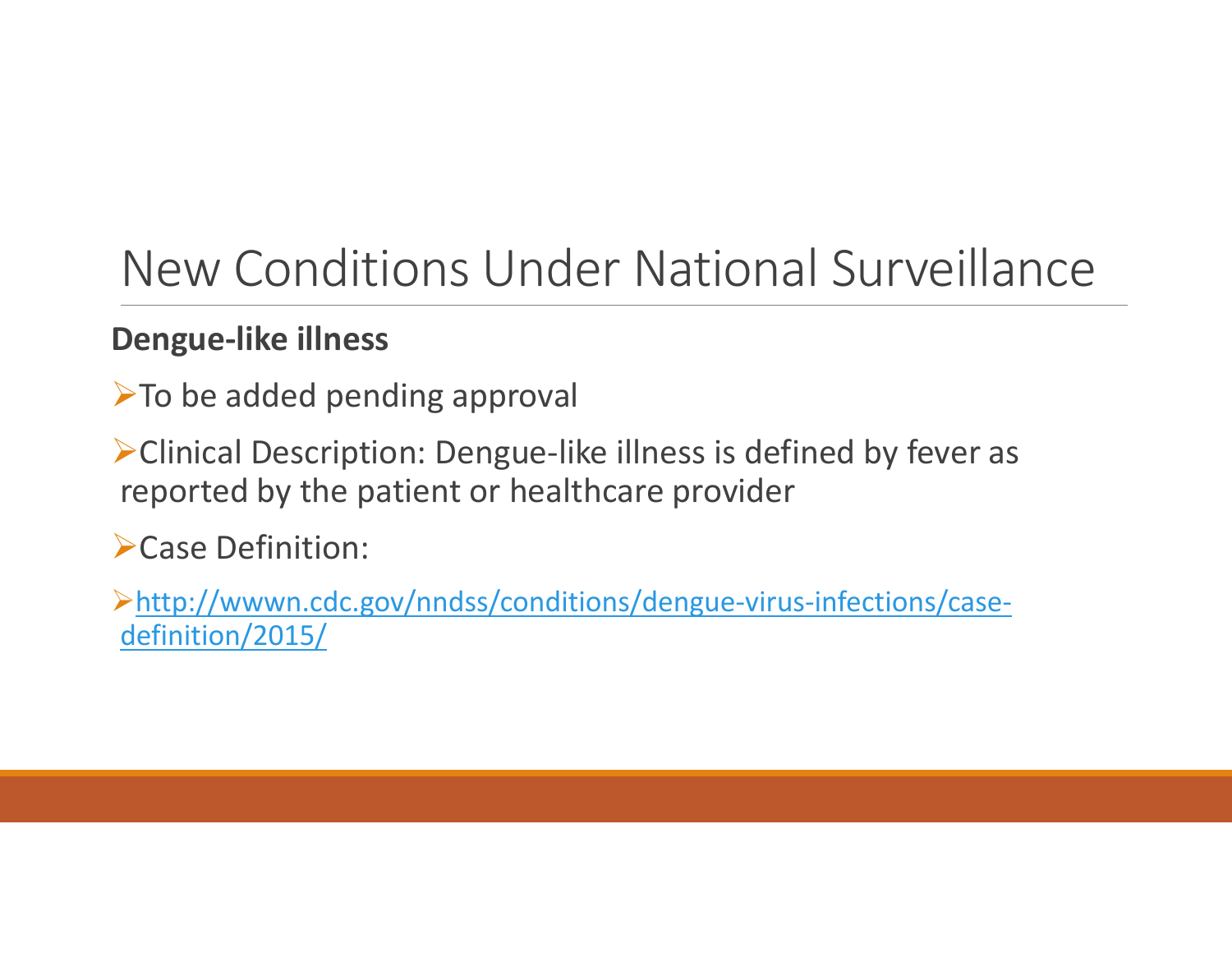### New Conditions Under National Surveillance

### **Dengue‐like illness**

> To be added pending approval

Clinical Description: Dengue‐like illness is defined by fever as reported by the patient or healthcare provider

Case Definition:

http://wwwn.cdc.gov/nndss/conditions/dengue‐virus‐infections/case‐ definition/2015/